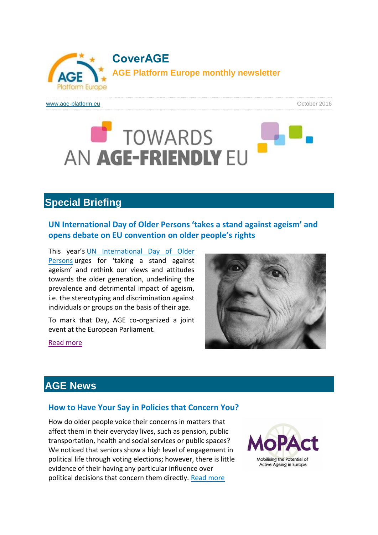

[www.age-platform.eu](http://age-platform.eu/) **output and the control of the control of the control of the control of the control of the control of the control of the control of the control of the control of the control of the control of the contro** 

# TOWARDS AN AGE-FRIENDLY EU

# **Special Briefing**

# **UN [International](http://www.age-platform.eu/special-briefing/un-international-day-older-persons-%E2%80%98takes-stand-against-ageism%E2%80%99-and-opens-debate-eu) Day of Older Persons 'takes a stand against ageism' and opens debate on EU [convention](http://www.age-platform.eu/special-briefing/un-international-day-older-persons-%E2%80%98takes-stand-against-ageism%E2%80%99-and-opens-debate-eu) on older people's rights**

This year's UN [International](http://www.un.org/en/events/olderpersonsday/) Day of Older [Persons](http://www.un.org/en/events/olderpersonsday/) urges for 'taking a stand against ageism' and rethink our views and attitudes towards the older generation, underlining the prevalence and detrimental impact of ageism, i.e. the stereotyping and discrimination against individuals or groups on the basis of their age.

To mark that Day, AGE co-organized a joint event at the European Parliament.



#### Read [more](http://www.age-platform.eu/special-briefing/un-international-day-older-persons-%E2%80%98takes-stand-against-ageism%E2%80%99-and-opens-debate-eu)

# **AGE News**

### **How to Have Your Say in Policies that [Concern](http://www.age-platform.eu/policy-work/news/how-have-your-say-policies-concern-you) You?**

How do older people voice their concerns in matters that affect them in their everyday lives, such as pension, public transportation, health and social services or public spaces? We noticed that seniors show a high level of engagement in political life through voting elections; however, there is little evidence of their having any particular influence over political decisions that concern them directly. Read [more](http://www.age-platform.eu/policy-work/news/how-have-your-say-policies-concern-you)

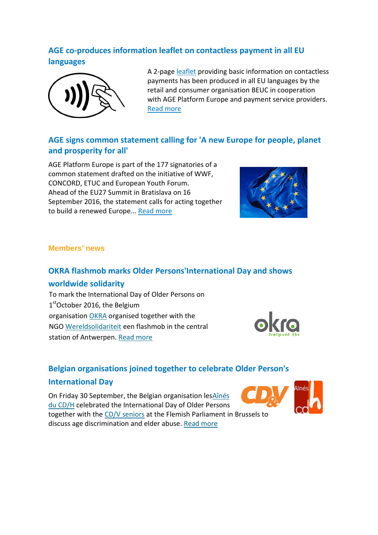# **AGE [co-produces](http://www.age-platform.eu/policy-work/news/age-co-produces-information-leaflet-contactless-payment-all-eu-languages) information leaflet on contactless payment in all EU [languages](http://www.age-platform.eu/policy-work/news/age-co-produces-information-leaflet-contactless-payment-all-eu-languages)**



A 2-page [leaflet](http://www.age-platform.eu/sites/default/files/EN_contactless_leaflet.pdf) providing basic information on contactless payments has been produced in all EU languages by the retail and consumer organisation BEUC in cooperation with AGE Platform Europe and payment service providers. Read [more](http://www.age-platform.eu/policy-work/news/age-co-produces-information-leaflet-contactless-payment-all-eu-languages)

# **AGE signs common [statement](http://www.age-platform.eu/policy-work/news/age-signs-common-statement-calling-new-europe-people-planet-and-prosperity-all) calling for 'A new Europe for people, planet and [prosperity](http://www.age-platform.eu/policy-work/news/age-signs-common-statement-calling-new-europe-people-planet-and-prosperity-all) for all'**

AGE Platform Europe is part of the 177 signatories of a common statement drafted on the initiative of WWF, CONCORD, ETUC and European Youth Forum. Ahead of the EU27 Summit in Bratislava on 16 September 2016, the statement calls for acting together to build a renewed Europe... Read [more](http://www.age-platform.eu/policy-work/news/age-signs-common-statement-calling-new-europe-people-planet-and-prosperity-all)



### **Members' news**

## **OKRA flashmob marks Older [Persons'International](http://www.age-platform.eu/age-member-news/okra-flashmob-marks-older-personsinternational-day-and-shows-worldwide-solidarity) Day and shows**

#### **[worldwide](http://www.age-platform.eu/age-member-news/okra-flashmob-marks-older-personsinternational-day-and-shows-worldwide-solidarity) solidarity**

To mark the International Day of Older Persons on 1stOctober 2016, the Belgium organisation [OKRA](http://www.okra.be/) organised together with the NGO [Wereldsolidariteit](https://www.wereldsolidariteit.be/) een flashmob in the central station of Antwerpen. [Read more](http://www.age-platform.eu/age-member-news/okra-flashmob-marks-older-personsinternational-day-and-shows-worldwide-solidarity)



## **Belgian [organisations](http://www.age-platform.eu/age-member-news/belgian-organisations-joined-together-celebrate-older-persons-international-day) joined together to celebrate Older Person's**

### **[International](http://www.age-platform.eu/age-member-news/belgian-organisations-joined-together-celebrate-older-persons-international-day) Day**

On Friday 30 September, the Belgian organisation le[sAînés](http://www.aines-cdh.be/)  [du CD/H](http://www.aines-cdh.be/) celebrated the International Day of Older Persons together with the [CD/V seniors](http://www.cdenv.be/) at the Flemish Parliament in Brussels to discuss age discrimination and elder abuse. [Read more](http://www.age-platform.eu/age-member-news/belgian-organisations-joined-together-celebrate-older-persons-international-day)

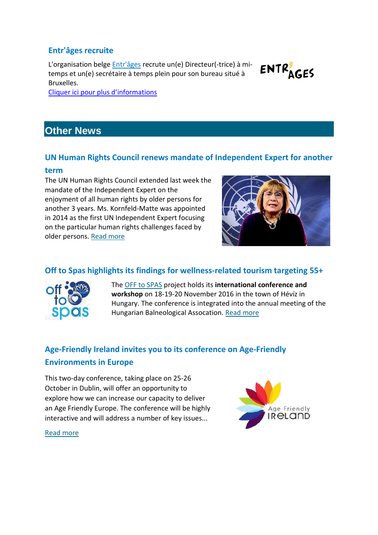## **[Entr'âges](http://www.age-platform.eu/age-member-news/entr%C3%A2ges-recruite) recruite**

L'organisation belge *[Entr'âges](http://www.entrages.be/site/)* recrute un(e) Directeur(-trice) à mitemps et un(e) secrétaire à temps plein pour son bureau situé à Bruxelles.



[Cliquer ici pour plus d'informations](http://www.age-platform.eu/age-member-news/entr%C3%A2ges-recruite)

# **Other News**

### **UN Human Rights Council renews mandate of [Independent](http://www.age-platform.eu/policy-work/news/un-human-rights-council-renews-mandate-independent-expert-another-term) Expert for another**

#### **[term](http://www.age-platform.eu/policy-work/news/un-human-rights-council-renews-mandate-independent-expert-another-term)**

The UN Human Rights Council extended last week the mandate of the Independent Expert on the enjoyment of all human rights by older persons for another 3 years. Ms. Kornfeld-Matte was appointed in 2014 as the first UN Independent Expert focusing on the particular human rights challenges faced by older persons. [Read more](http://www.age-platform.eu/policy-work/news/un-human-rights-council-renews-mandate-independent-expert-another-term)



# **Off to Spas highlights its findings for [wellness-related](http://www.age-platform.eu/policy-work/news/spas-highlights-its-findings-wellness-related-tourism-targeting-55) tourism targeting 55+**



The [OFF to SPAS](http://offtospas.eu/) project holds its **international conference and workshop** on 18-19-20 November 2016 in the town of Hévíz in Hungary. The conference is integrated into the annual meeting of the Hungarian Balneological Assocation[. Read more](http://www.age-platform.eu/policy-work/news/spas-highlights-its-findings-wellness-related-tourism-targeting-55)

# **[Age-Friendly](http://www.age-platform.eu/policy-work/news/age-friendly-ireland-invites-you-its-conference-age-friendly-environments-europe) Ireland invites you to its conference on Age-Friendly [Environments](http://www.age-platform.eu/policy-work/news/age-friendly-ireland-invites-you-its-conference-age-friendly-environments-europe) in Europe**

This two-day conference, taking place on 25-26 October in Dublin, will offer an opportunity to explore how we can increase our capacity to deliver an Age Friendly Europe. The conference will be highly interactive and will address a number of key issues...



[Read more](http://www.age-platform.eu/policy-work/news/age-friendly-ireland-invites-you-its-conference-age-friendly-environments-europe)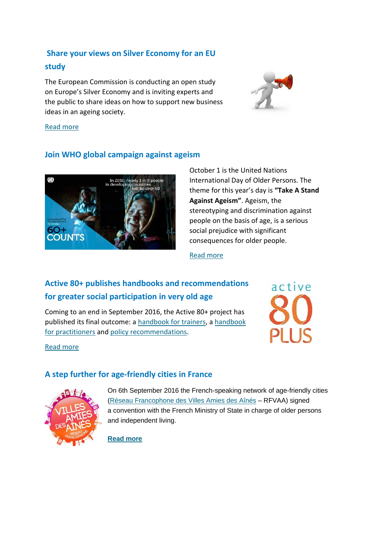# **Share your views on Silver [Economy](http://www.age-platform.eu/policy-work/news/share-your-views-silver-economy-eu-study) for an EU [study](http://www.age-platform.eu/policy-work/news/share-your-views-silver-economy-eu-study)**

The European Commission is conducting an open study on Europe's Silver Economy and is inviting experts and the public to share ideas on how to support new business ideas in an ageing society.



#### [Read more](http://www.age-platform.eu/policy-work/news/share-your-views-silver-economy-eu-study)

## **Join WHO global [campaign](http://www.age-platform.eu/policy-work/news/join-who-global-campaign-against-ageism) against ageism**



October 1 is the United Nations International Day of Older Persons. The theme for this year's day is **"Take A Stand Against Ageism"**. Ageism, the stereotyping and discrimination against people on the basis of age, is a serious social prejudice with significant consequences for older people.

#### [Read more](http://www.age-platform.eu/policy-work/news/join-who-global-campaign-against-ageism)

# **Active 80+ publishes handbooks and [recommendations](http://www.age-platform.eu/policy-work/news/active-80-publishes-handbooks-and-recommendations-greater-social-participation-very) for greater social [participation](http://www.age-platform.eu/policy-work/news/active-80-publishes-handbooks-and-recommendations-greater-social-participation-very) in very old age**

Coming to an end in September 2016, the Active 80+ project has published its final outcome: a [handbook for trainers,](http://www.act-80plus.eu/wp-content/uploads/2016/08/Trainingshandbuch_1.7.16_onlineversion.pdf) a [handbook](http://www.act-80plus.eu/wp-content/uploads/2016/08/Handbook_Pract_englishformats_singlepages_compressed.pdf)  [for practitioners](http://www.act-80plus.eu/wp-content/uploads/2016/08/Handbook_Pract_englishformats_singlepages_compressed.pdf) and [policy recommendations.](http://www.act-80plus.eu/wp-content/uploads/2016/08/Policy_Recommendations_english_formats_singlepages.pdf)



#### [Read more](http://www.age-platform.eu/policy-work/news/active-80-publishes-handbooks-and-recommendations-greater-social-participation-very)

## **A step further for [age-friendly](http://www.age-platform.eu/policy-work/news/step-further-age-friendly-cities-france) cities in France**



On 6th September 2016 the French-speaking network of age-friendly cities [\(Réseau Francophone des Villes Amies des Aînés](http://www.villesamiesdesaines-rf.fr/) – RFVAA) signed a convention with the French Ministry of State in charge of older persons and independent living.

**[Read more](http://www.age-platform.eu/policy-work/news/step-further-age-friendly-cities-france)**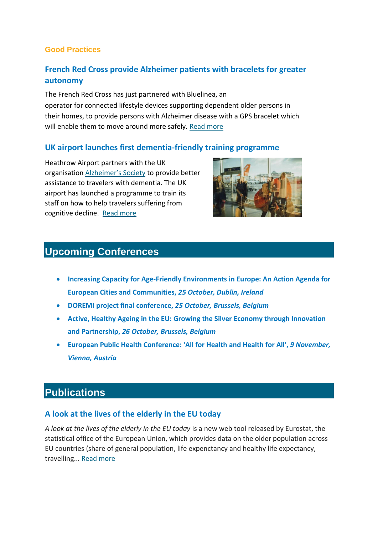#### **Good Practices**

## **French Red Cross provide [Alzheimer](http://www.age-platform.eu/good-practice/french-red-cross-provide-alzheimer-patients-bracelets-greater-autonomy) patients with bracelets for greater [autonomy](http://www.age-platform.eu/good-practice/french-red-cross-provide-alzheimer-patients-bracelets-greater-autonomy)**

The French Red Cross has just partnered with Bluelinea, an operator for connected lifestyle devices supporting dependent older persons in their homes, to provide persons with Alzheimer disease with a GPS bracelet which will enable them to move around more safely. [Read more](http://www.age-platform.eu/good-practice/french-red-cross-provide-alzheimer-patients-bracelets-greater-autonomy)

### **UK airport launches first [dementia-friendly](http://www.age-platform.eu/good-practice/uk-airport-launches-first-dementia-friendly-training-programme) training programme**

Heathrow Airport partners with the UK organisation [Alzheimer's Society](https://www.alzheimers.org.uk/) to provide better assistance to travelers with dementia. The UK airport has launched a programme to train its staff on how to help travelers suffering from cognitive decline. [Read more](http://www.age-platform.eu/good-practice/uk-airport-launches-first-dementia-friendly-training-programme)



# **Upcoming Conferences**

- **Increasing Capacity for Age-Friendly [Environments](http://www.age-platform.eu/event/increasing-capacity-age-friendly-environments-europe-action-agenda-european-cities-and) in Europe: An Action Agenda for European Cities and [Communities,](http://www.age-platform.eu/event/increasing-capacity-age-friendly-environments-europe-action-agenda-european-cities-and)** *25 October, Dublin, Ireland*
- **DOREMI project final [conference,](http://www.age-platform.eu/event/doremi-project-final-conference)** *25 October, Brussels, Belgium*
- **Active, Healthy Ageing in the EU: Growing the Silver Economy through [Innovation](http://www.age-platform.eu/event/active-healthy-ageing-eu-growing-silver-economy-through-innovation-and-partnership) and [Partnership,](http://www.age-platform.eu/event/active-healthy-ageing-eu-growing-silver-economy-through-innovation-and-partnership)** *26 October, Brussels, Belgium*
- **European Public Health [Conference:](http://www.age-platform.eu/event/european-public-health-conference-all-health-and-health-all) 'All for Health and Health for All',** *9 November, Vienna, Austria*

# **Publications**

## **A look at the lives of the [elderly](http://www.age-platform.eu/publications/look-lives-elderly-eu-today) in the EU today**

*A look at the lives of the elderly in the EU today* is a new web tool released by Eurostat, the statistical office of the European Union, which provides data on the older population across EU countries (share of general population, life expenctancy and healthy life expectancy, travelling... Read [more](http://www.age-platform.eu/publications/look-lives-elderly-eu-today)